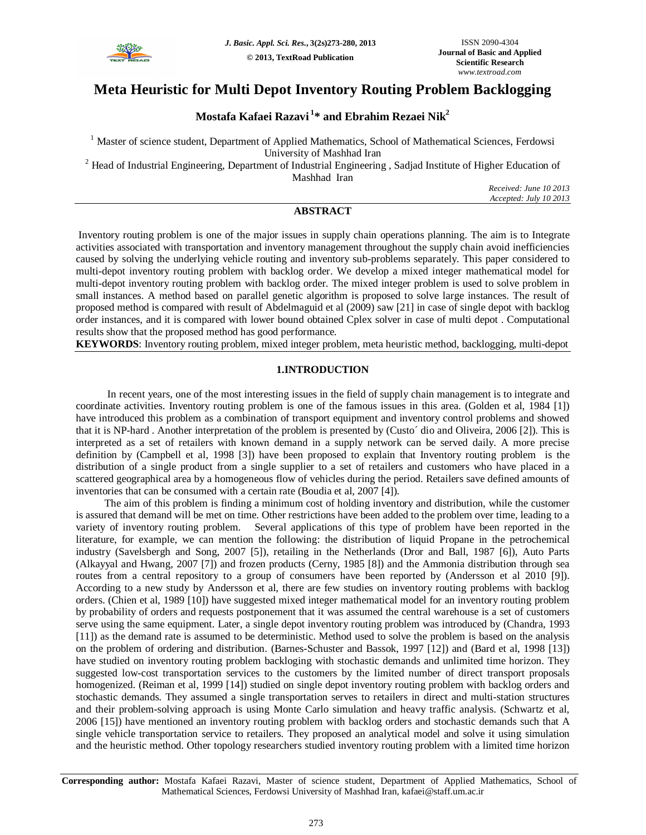

# **Meta Heuristic for Multi Depot Inventory Routing Problem Backlogging**

# **Mostafa Kafaei Razavi <sup>1</sup> \* and Ebrahim Rezaei Nik<sup>2</sup>**

<sup>1</sup> Master of science student, Department of Applied Mathematics, School of Mathematical Sciences, Ferdowsi University of Mashhad Iran

<sup>2</sup> Head of Industrial Engineering, Department of Industrial Engineering, Sadjad Institute of Higher Education of

Mashhad Iran

*Received: June 10 2013 Accepted: July 10 2013*

# **ABSTRACT**

Inventory routing problem is one of the major issues in supply chain operations planning. The aim is to Integrate activities associated with transportation and inventory management throughout the supply chain avoid inefficiencies caused by solving the underlying vehicle routing and inventory sub-problems separately. This paper considered to multi-depot inventory routing problem with backlog order. We develop a mixed integer mathematical model for multi-depot inventory routing problem with backlog order. The mixed integer problem is used to solve problem in small instances. A method based on parallel genetic algorithm is proposed to solve large instances. The result of proposed method is compared with result of Abdelmaguid et al (2009) saw [21] in case of single depot with backlog order instances, and it is compared with lower bound obtained Cplex solver in case of multi depot . Computational results show that the proposed method has good performance.

**KEYWORDS**: Inventory routing problem, mixed integer problem, meta heuristic method, backlogging, multi-depot

# **1.INTRODUCTION**

 In recent years, one of the most interesting issues in the field of supply chain management is to integrate and coordinate activities. Inventory routing problem is one of the famous issues in this area. (Golden et al, 1984 [1]) have introduced this problem as a combination of transport equipment and inventory control problems and showed that it is NP-hard . Another interpretation of the problem is presented by (Custo´ dio and Oliveira, 2006 [2]). This is interpreted as a set of retailers with known demand in a supply network can be served daily. A more precise definition by (Campbell et al, 1998 [3]) have been proposed to explain that Inventory routing problem is the distribution of a single product from a single supplier to a set of retailers and customers who have placed in a scattered geographical area by a homogeneous flow of vehicles during the period. Retailers save defined amounts of inventories that can be consumed with a certain rate (Boudia et al, 2007 [4]).

The aim of this problem is finding a minimum cost of holding inventory and distribution, while the customer is assured that demand will be met on time. Other restrictions have been added to the problem over time, leading to a variety of inventory routing problem. Several applications of this type of problem have been reported in the literature, for example, we can mention the following: the distribution of liquid Propane in the petrochemical industry (Savelsbergh and Song, 2007 [5]), retailing in the Netherlands (Dror and Ball, 1987 [6]), Auto Parts (Alkayyal and Hwang, 2007 [7]) and frozen products (Cerny, 1985 [8]) and the Ammonia distribution through sea routes from a central repository to a group of consumers have been reported by (Andersson et al 2010 [9]). According to a new study by Andersson et al, there are few studies on inventory routing problems with backlog orders. (Chien et al, 1989 [10]) have suggested mixed integer mathematical model for an inventory routing problem by probability of orders and requests postponement that it was assumed the central warehouse is a set of customers serve using the same equipment. Later, a single depot inventory routing problem was introduced by (Chandra, 1993 [11]) as the demand rate is assumed to be deterministic. Method used to solve the problem is based on the analysis on the problem of ordering and distribution. (Barnes-Schuster and Bassok, 1997 [12]) and (Bard et al, 1998 [13]) have studied on inventory routing problem backloging with stochastic demands and unlimited time horizon. They suggested low-cost transportation services to the customers by the limited number of direct transport proposals homogenized. (Reiman et al, 1999 [14]) studied on single depot inventory routing problem with backlog orders and stochastic demands. They assumed a single transportation serves to retailers in direct and multi-station structures and their problem-solving approach is using Monte Carlo simulation and heavy traffic analysis. (Schwartz et al, 2006 [15]) have mentioned an inventory routing problem with backlog orders and stochastic demands such that A single vehicle transportation service to retailers. They proposed an analytical model and solve it using simulation and the heuristic method. Other topology researchers studied inventory routing problem with a limited time horizon

**Corresponding author:** Mostafa Kafaei Razavi, Master of science student, Department of Applied Mathematics, School of Mathematical Sciences, Ferdowsi University of Mashhad Iran, kafaei@staff.um.ac.ir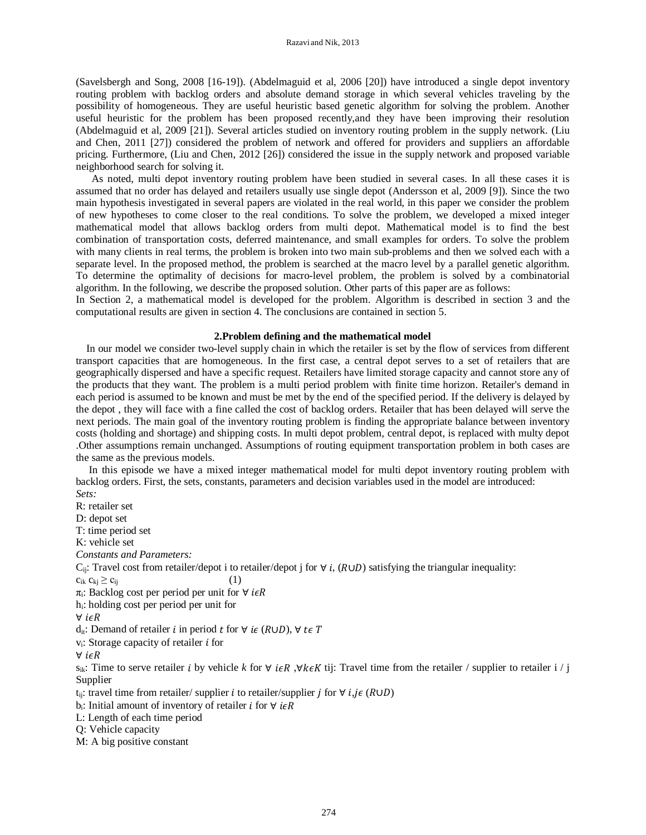(Savelsbergh and Song, 2008 [16-19]). (Abdelmaguid et al, 2006 [20]) have introduced a single depot inventory routing problem with backlog orders and absolute demand storage in which several vehicles traveling by the possibility of homogeneous. They are useful heuristic based genetic algorithm for solving the problem. Another useful heuristic for the problem has been proposed recently,and they have been improving their resolution (Abdelmaguid et al, 2009 [21]). Several articles studied on inventory routing problem in the supply network. (Liu and Chen, 2011 [27]) considered the problem of network and offered for providers and suppliers an affordable pricing. Furthermore, (Liu and Chen, 2012 [26]) considered the issue in the supply network and proposed variable neighborhood search for solving it.

 As noted, multi depot inventory routing problem have been studied in several cases. In all these cases it is assumed that no order has delayed and retailers usually use single depot (Andersson et al, 2009 [9]). Since the two main hypothesis investigated in several papers are violated in the real world, in this paper we consider the problem of new hypotheses to come closer to the real conditions. To solve the problem, we developed a mixed integer mathematical model that allows backlog orders from multi depot. Mathematical model is to find the best combination of transportation costs, deferred maintenance, and small examples for orders. To solve the problem with many clients in real terms, the problem is broken into two main sub-problems and then we solved each with a separate level. In the proposed method, the problem is searched at the macro level by a parallel genetic algorithm. To determine the optimality of decisions for macro-level problem, the problem is solved by a combinatorial algorithm. In the following, we describe the proposed solution. Other parts of this paper are as follows:

In Section 2, a mathematical model is developed for the problem. Algorithm is described in section 3 and the computational results are given in section 4. The conclusions are contained in section 5.

# **2.Problem defining and the mathematical model**

 In our model we consider two-level supply chain in which the retailer is set by the flow of services from different transport capacities that are homogeneous. In the first case, a central depot serves to a set of retailers that are geographically dispersed and have a specific request. Retailers have limited storage capacity and cannot store any of the products that they want. The problem is a multi period problem with finite time horizon. Retailer's demand in each period is assumed to be known and must be met by the end of the specified period. If the delivery is delayed by the depot , they will face with a fine called the cost of backlog orders. Retailer that has been delayed will serve the next periods. The main goal of the inventory routing problem is finding the appropriate balance between inventory costs (holding and shortage) and shipping costs. In multi depot problem, central depot, is replaced with multy depot .Other assumptions remain unchanged. Assumptions of routing equipment transportation problem in both cases are the same as the previous models.

 In this episode we have a mixed integer mathematical model for multi depot inventory routing problem with backlog orders. First, the sets, constants, parameters and decision variables used in the model are introduced: *Sets:* 

R: retailer set D: depot set T: time period set K: vehicle set *Constants and Parameters:*  C<sub>ij</sub>: Travel cost from retailer/depot i to retailer/depot j for  $\forall i$ , ( $R \cup D$ ) satisfying the triangular inequality:  $c_{ik} c_{kj} \ge c_{ij}$  (1) π<sub>i</sub>: Backlog cost per period per unit for  $\forall$  *i* $\in$ *R* hi: holding cost per period per unit for  $\forall$  i<sub>∈</sub>R  $d_{it}$ : Demand of retailer *i* in period *t* for  $\forall$  *i* $\in$  (*R*∪*D*),  $\forall$  *t* $\in$  *T*  $v_i$ : Storage capacity of retailer  $i$  for  $\forall$  i $\epsilon R$  $s_{ik}$ : Time to serve retailer *i* by vehicle *k* for  $\forall$  *i* $\in$ *R*,  $\forall$ *k* $\in$ *K* tij: Travel time from the retailer / supplier to retailer i / j Supplier t<sub>ii</sub>: travel time from retailer/ supplier *i* to retailer/supplier *i* for  $\forall$  *i*,*i* $\in$  ( $R \cup D$ ) b<sub>i</sub>: Initial amount of inventory of retailer *i* for  $\forall$  *i* $\in$ *R* L: Length of each time period Q: Vehicle capacity

M: A big positive constant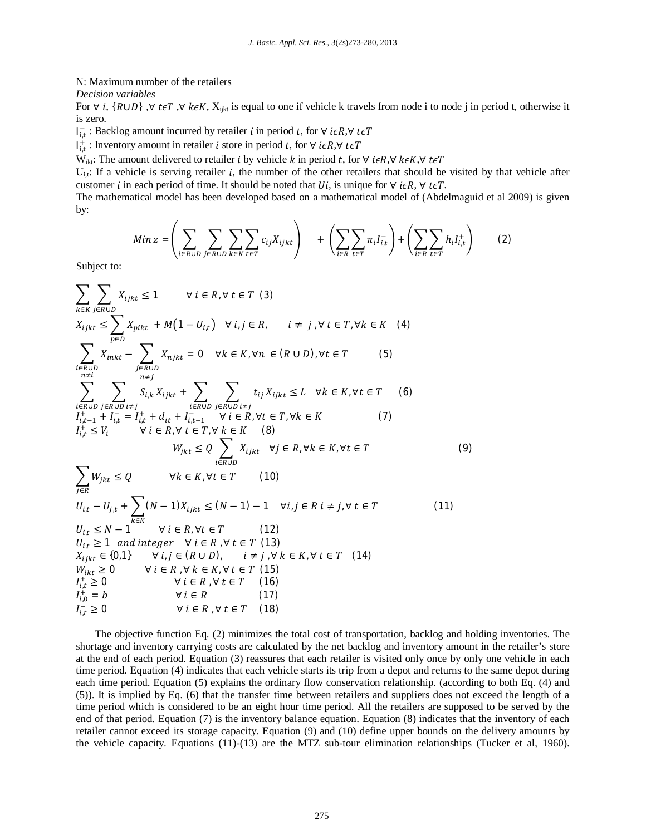N: Maximum number of the retailers

*Decision variables*

For  $\forall i$ , {R∪D},  $\forall t \in T$ ,  $\forall k \in K$ ,  $X_{i|kt}$  is equal to one if vehicle k travels from node i to node j in period t, otherwise it is zero.

 $I_{i,t}^-$ : Backlog amount incurred by retailer  $i$  in period  $t$ , for  $\forall$   $i \in R$ , $\forall$   $t \in T$ 

 $I_{i,t}^+$ : Inventory amount in retailer *i* store in period *t*, for ∀ *i*∈R,∀ *t*∈T

W<sub>ikt</sub>: The amount delivered to retailer *i* by vehicle *k* in period *t*, for  $\forall$  *i* $\epsilon R$ , $\forall$  *k* $\epsilon K$ , $\forall$  *t* $\epsilon T$ 

 $U_{i,t}$ : If a vehicle is serving retailer *i*, the number of the other retailers that should be visited by that vehicle after customer *i* in each period of time. It should be noted that *Ui*, is unique for  $\forall$  *i* $\epsilon R$ ,  $\forall$  *t* $\epsilon T$ .

The mathematical model has been developed based on a mathematical model of (Abdelmaguid et al 2009) is given by:

$$
Min z = \left(\sum_{i \in R \cup D} \sum_{j \in R \cup D} \sum_{k \in K} \sum_{t \in T} c_{ij} X_{ijkt}\right) + \left(\sum_{i \in R} \sum_{t \in T} \pi_i I_{i,t}^-\right) + \left(\sum_{i \in R} \sum_{t \in T} h_i I_{i,t}^+\right) \tag{2}
$$

Subject to:

$$
\sum_{k \in K} \sum_{j \in R \cup D} X_{ijkt} \le 1 \qquad \forall i \in R, \forall t \in T \text{ (3)}
$$
\n
$$
X_{ijkt} \le \sum_{p \in D} X_{pikt} + M(1 - U_{it}) \qquad \forall i, j \in R, \qquad i \ne j, \forall t \in T, \forall k \in K \text{ (4)}
$$
\n
$$
\sum_{\substack{n \in H \\ n \ne i}} \sum_{\substack{n \in H \\ n \ne i}} X_{inkt} - \sum_{\substack{n \in H \\ n \ne j}} X_{njkt} = 0 \qquad \forall k \in K, \forall n \in (R \cup D), \forall t \in T \text{ (5)}
$$
\n
$$
\sum_{\substack{n \in H \\ n \ne i}} \sum_{\substack{n \in H \\ n \ne i}} S_{ik} X_{ijkt} + \sum_{\substack{i \in R \cup D \\ i \in R \cup D \\ i \ne i}} \sum_{\substack{j \in H \\ n \ne i}} t_{ij} X_{ijkt} \le L \qquad \forall k \in K, \forall t \in T \text{ (6)}
$$
\n
$$
I_{i,t-1}^* + I_{i,t-1}^* I_{i,t-1}^* I_{i,t-1}^* \qquad \forall i \in R, \forall t \in T, \forall k \in K \text{ (7)}
$$
\n
$$
W_{jkt} \le Q \qquad \forall k \in K, \forall t \in T \text{ (10)}
$$
\n
$$
U_{i,t} - U_{j,t} + \sum_{\substack{k \in K \\ i \in K \cup D}} (N-1) X_{ijkt} \le (N-1) - 1 \qquad \forall i, j \in R; \forall t \in T \text{ (9)}
$$
\n
$$
U_{i,t} \ge N-1 \qquad \forall i \in R, \forall t \in T \text{ (12)}
$$
\n
$$
U_{i,t} \ge 1 \text{ and integer } \forall i \in R, \forall t \in T \text{ (13)}
$$
\n
$$
X_{ijkt} \in (0,1) \qquad \forall i, j \in (R \cup D), \qquad i \ne j, \forall k \in K, \forall t \in T \text{ (14)}
$$
\n
$$
W_{ikt} \ge 0 \qquad \forall i \in R, \forall t \in T \text{ (15)}
$$
\n
$$
I_{i
$$

The objective function Eq. (2) minimizes the total cost of transportation, backlog and holding inventories. The shortage and inventory carrying costs are calculated by the net backlog and inventory amount in the retailer's store at the end of each period. Equation (3) reassures that each retailer is visited only once by only one vehicle in each time period. Equation (4) indicates that each vehicle starts its trip from a depot and returns to the same depot during each time period. Equation (5) explains the ordinary flow conservation relationship. (according to both Eq. (4) and (5)). It is implied by Eq. (6) that the transfer time between retailers and suppliers does not exceed the length of a time period which is considered to be an eight hour time period. All the retailers are supposed to be served by the end of that period. Equation (7) is the inventory balance equation. Equation (8) indicates that the inventory of each retailer cannot exceed its storage capacity. Equation (9) and (10) define upper bounds on the delivery amounts by the vehicle capacity. Equations (11)-(13) are the MTZ sub-tour elimination relationships (Tucker et al, 1960).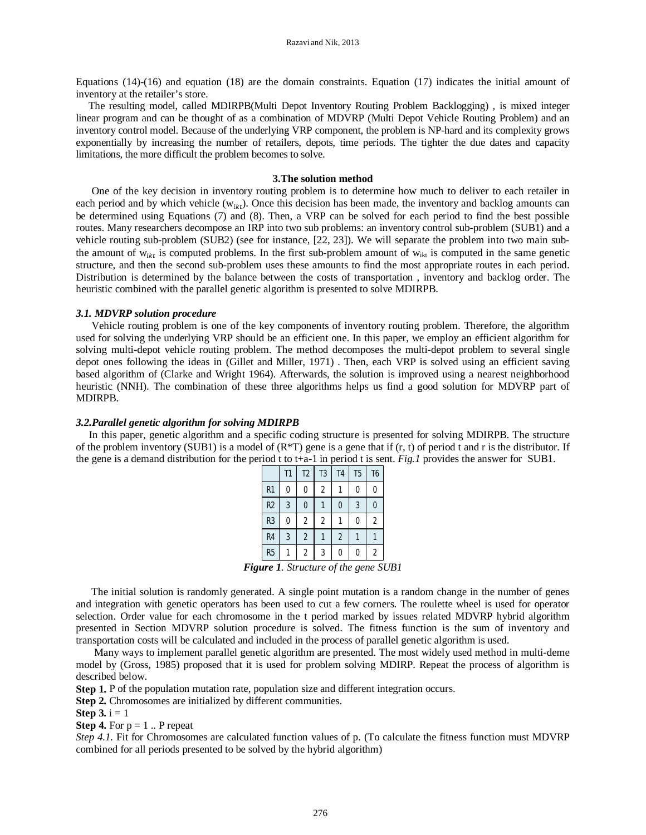Equations (14)-(16) and equation (18) are the domain constraints. Equation (17) indicates the initial amount of inventory at the retailer's store.

 The resulting model, called MDIRPB(Multi Depot Inventory Routing Problem Backlogging) , is mixed integer linear program and can be thought of as a combination of MDVRP (Multi Depot Vehicle Routing Problem) and an inventory control model. Because of the underlying VRP component, the problem is NP-hard and its complexity grows exponentially by increasing the number of retailers, depots, time periods. The tighter the due dates and capacity limitations, the more difficult the problem becomes to solve.

# **3.The solution method**

 One of the key decision in inventory routing problem is to determine how much to deliver to each retailer in each period and by which vehicle  $(w_{ikt})$ . Once this decision has been made, the inventory and backlog amounts can be determined using Equations (7) and (8). Then, a VRP can be solved for each period to find the best possible routes. Many researchers decompose an IRP into two sub problems: an inventory control sub-problem (SUB1) and a vehicle routing sub-problem (SUB2) (see for instance, [22, 23]). We will separate the problem into two main subthe amount of  $w_{ikt}$  is computed problems. In the first sub-problem amount of  $w_{ikt}$  is computed in the same genetic structure, and then the second sub-problem uses these amounts to find the most appropriate routes in each period. Distribution is determined by the balance between the costs of transportation , inventory and backlog order. The heuristic combined with the parallel genetic algorithm is presented to solve MDIRPB.

#### *3.1. MDVRP solution procedure*

 Vehicle routing problem is one of the key components of inventory routing problem. Therefore, the algorithm used for solving the underlying VRP should be an efficient one. In this paper, we employ an efficient algorithm for solving multi-depot vehicle routing problem. The method decomposes the multi-depot problem to several single depot ones following the ideas in (Gillet and Miller, 1971) . Then, each VRP is solved using an efficient saving based algorithm of (Clarke and Wright 1964). Afterwards, the solution is improved using a nearest neighborhood heuristic (NNH). The combination of these three algorithms helps us find a good solution for MDVRP part of MDIRPB.

# *3.2.Parallel genetic algorithm for solving MDIRPB*

 In this paper, genetic algorithm and a specific coding structure is presented for solving MDIRPB. The structure of the problem inventory (SUB1) is a model of  $(R*T)$  gene is a gene that if  $(r, t)$  of period t and r is the distributor. If the gene is a demand distribution for the period t to t+a-1 in period t is sent. *Fig.1* provides the answer for SUB1.

|                | T1             | T <sub>2</sub> | T3 | T <sub>4</sub> | T <sub>5</sub> | T <sub>6</sub> |
|----------------|----------------|----------------|----|----------------|----------------|----------------|
| R <sub>1</sub> |                |                | 2  |                |                | Λ              |
| R <sub>2</sub> | $\overline{3}$ | 0              |    | 0              | 3              | 0              |
| R <sub>3</sub> |                | 2              | 2  |                | C              | $\overline{2}$ |
| R <sub>4</sub> | 3              | $\overline{2}$ |    | $\overline{2}$ |                |                |
| R <sub>5</sub> |                | 2              | 3  |                |                | $\overline{2}$ |

*Figure 1. Structure of the gene SUB1*

 The initial solution is randomly generated. A single point mutation is a random change in the number of genes and integration with genetic operators has been used to cut a few corners. The roulette wheel is used for operator selection. Order value for each chromosome in the t period marked by issues related MDVRP hybrid algorithm presented in Section MDVRP solution procedure is solved. The fitness function is the sum of inventory and transportation costs will be calculated and included in the process of parallel genetic algorithm is used.

 Many ways to implement parallel genetic algorithm are presented. The most widely used method in multi-deme model by (Gross, 1985) proposed that it is used for problem solving MDIRP. Repeat the process of algorithm is described below.

**Step 1.** P of the population mutation rate, population size and different integration occurs.

**Step 2.** Chromosomes are initialized by different communities.

**Step 3.**  $i = 1$ 

**Step 4.** For  $p = 1$ . P repeat

*Step 4.1.* Fit for Chromosomes are calculated function values of p. (To calculate the fitness function must MDVRP combined for all periods presented to be solved by the hybrid algorithm)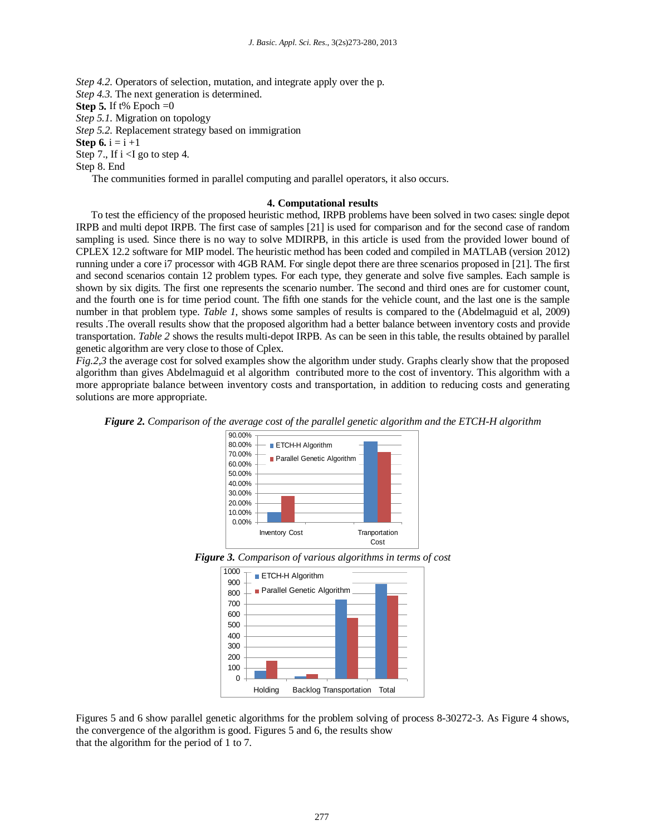*Step 4.2.* Operators of selection, mutation, and integrate apply over the p. *Step 4.3.* The next generation is determined. **Step 5.** If t% Epoch  $=0$ *Step 5.1.* Migration on topology *Step 5.2.* Replacement strategy based on immigration **Step 6.**  $i = i + 1$ Step 7., If  $i < I$  go to step 4.

Step 8. End

The communities formed in parallel computing and parallel operators, it also occurs.

#### **4. Computational results**

 To test the efficiency of the proposed heuristic method, IRPB problems have been solved in two cases: single depot IRPB and multi depot IRPB. The first case of samples [21] is used for comparison and for the second case of random sampling is used. Since there is no way to solve MDIRPB, in this article is used from the provided lower bound of CPLEX 12.2 software for MIP model. The heuristic method has been coded and compiled in MATLAB (version 2012) running under a core i7 processor with 4GB RAM. For single depot there are three scenarios proposed in [21]. The first and second scenarios contain 12 problem types. For each type, they generate and solve five samples. Each sample is shown by six digits. The first one represents the scenario number. The second and third ones are for customer count, and the fourth one is for time period count. The fifth one stands for the vehicle count, and the last one is the sample number in that problem type. *Table 1*, shows some samples of results is compared to the (Abdelmaguid et al, 2009) results .The overall results show that the proposed algorithm had a better balance between inventory costs and provide transportation. *Table 2* shows the results multi-depot IRPB. As can be seen in this table, the results obtained by parallel genetic algorithm are very close to those of Cplex.

*Fig.2,3* the average cost for solved examples show the algorithm under study. Graphs clearly show that the proposed algorithm than gives Abdelmaguid et al algorithm contributed more to the cost of inventory. This algorithm with a more appropriate balance between inventory costs and transportation, in addition to reducing costs and generating solutions are more appropriate.

*Figure 2. Comparison of the average cost of the parallel genetic algorithm and the ETCH-H algorithm*



*Figure 3. Comparison of various algorithms in terms of cost*



Figures 5 and 6 show parallel genetic algorithms for the problem solving of process 8-30272-3. As Figure 4 shows, the convergence of the algorithm is good. Figures 5 and 6, the results show that the algorithm for the period of 1 to 7.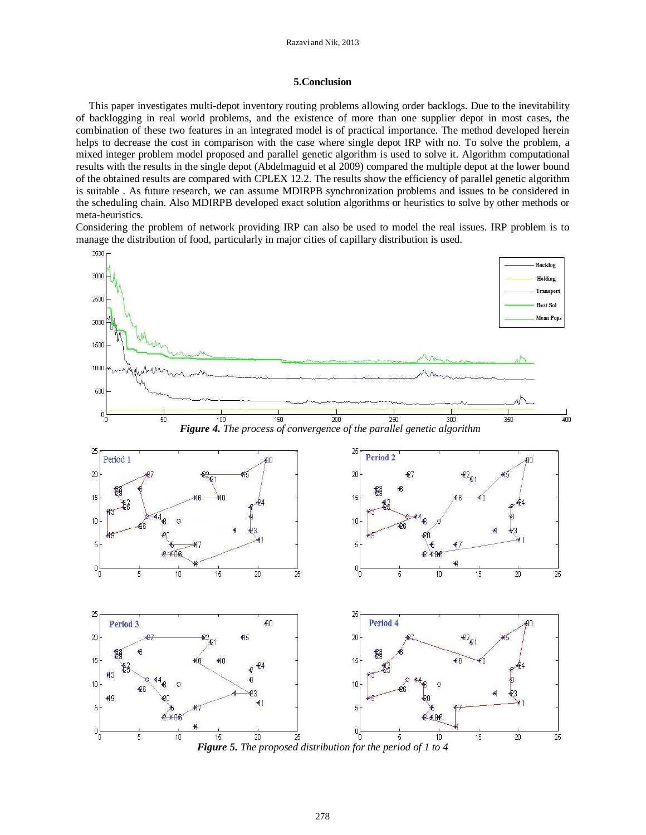# **5.Conclusion**

 This paper investigates multi-depot inventory routing problems allowing order backlogs. Due to the inevitability of backlogging in real world problems, and the existence of more than one supplier depot in most cases, the combination of these two features in an integrated model is of practical importance. The method developed herein helps to decrease the cost in comparison with the case where single depot IRP with no. To solve the problem, a mixed integer problem model proposed and parallel genetic algorithm is used to solve it. Algorithm computational results with the results in the single depot (Abdelmaguid et al 2009) compared the multiple depot at the lower bound of the obtained results are compared with CPLEX 12.2. The results show the efficiency of parallel genetic algorithm is suitable . As future research, we can assume MDIRPB synchronization problems and issues to be considered in the scheduling chain. Also MDIRPB developed exact solution algorithms or heuristics to solve by other methods or meta-heuristics.

Considering the problem of network providing IRP can also be used to model the real issues. IRP problem is to manage the distribution of food, particularly in major cities of capillary distribution is used.

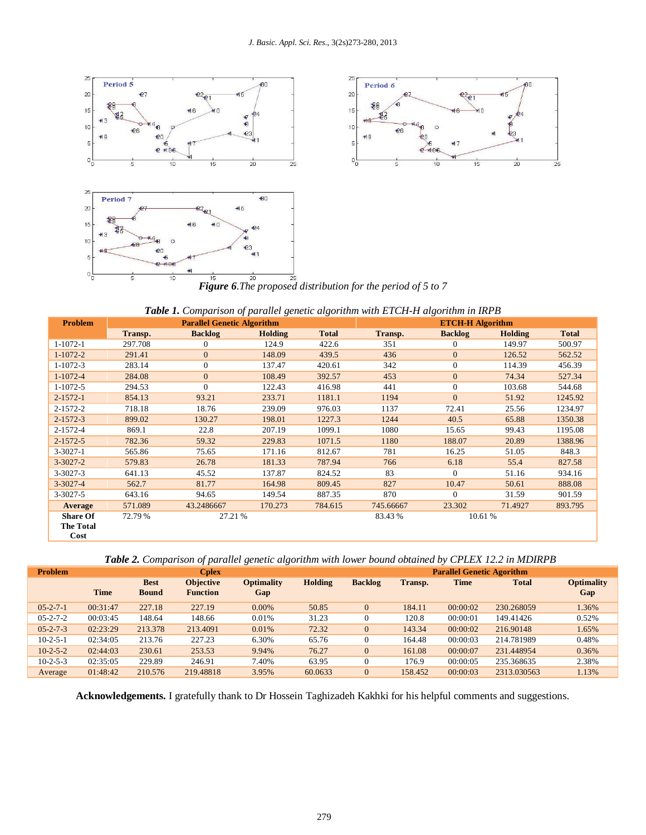

| <b>Table 1.</b> Comparison of parallel genetic algorithm with ETCH-H algorithm in IRPB |                                   |                |         |              |                         |                    |         |              |  |  |
|----------------------------------------------------------------------------------------|-----------------------------------|----------------|---------|--------------|-------------------------|--------------------|---------|--------------|--|--|
| Problem                                                                                | <b>Parallel Genetic Algorithm</b> |                |         |              | <b>ETCH-H Algorithm</b> |                    |         |              |  |  |
|                                                                                        | Transp.                           | <b>Backlog</b> | Holding | <b>Total</b> | Transp.                 | <b>Backlog</b>     | Holding | <b>Total</b> |  |  |
| $1 - 1072 - 1$                                                                         | 297.708                           | $\mathbf{0}$   | 124.9   | 422.6        | 351                     | $\overline{0}$     | 149.97  | 500.97       |  |  |
| $1-1072-2$                                                                             | 291.41                            | $\Omega$       | 148.09  | 439.5        | 436                     | $\Omega$<br>126.52 |         | 562.52       |  |  |
| $1-1072-3$                                                                             | 283.14                            | $\mathbf{0}$   | 137.47  | 420.61       | 342                     | $\mathbf{0}$       | 114.39  | 456.39       |  |  |
| $1-1072-4$                                                                             | 284.08                            | $\mathbf{0}$   | 108.49  | 392.57       | 453                     | $\overline{0}$     | 74.34   | 527.34       |  |  |
| 1-1072-5                                                                               | 294.53                            | $\Omega$       | 122.43  | 416.98       | 441                     | $\Omega$           | 103.68  | 544.68       |  |  |
| $2 - 1572 - 1$                                                                         | 854.13                            | 93.21          | 233.71  | 1181.1       | 1194                    | $\overline{0}$     | 51.92   | 1245.92      |  |  |
| 2-1572-2                                                                               | 718.18                            | 18.76          | 239.09  | 976.03       | 1137                    | 72.41              | 25.56   | 1234.97      |  |  |
| $2 - 1572 - 3$                                                                         | 899.02                            | 130.27         | 198.01  | 1227.3       | 1244                    | 40.5               | 65.88   | 1350.38      |  |  |
| 2-1572-4                                                                               | 869.1                             | 22.8           | 207.19  | 1099.1       | 1080                    | 15.65              | 99.43   | 1195.08      |  |  |
| $2 - 1572 - 5$                                                                         | 782.36                            | 59.32          | 229.83  | 1071.5       | 1180                    | 188.07             | 20.89   | 1388.96      |  |  |
| $3-3027-1$                                                                             | 565.86                            | 75.65          | 171.16  | 812.67       | 781                     | 16.25              | 51.05   | 848.3        |  |  |
| $3 - 3027 - 2$                                                                         | 579.83                            | 26.78          | 181.33  | 787.94       | 766                     | 6.18               | 55.4    | 827.58       |  |  |
| $3-3027-3$                                                                             | 641.13                            | 45.52          | 137.87  | 824.52       | 83                      | $\Omega$           | 51.16   | 934.16       |  |  |
| $3-3027-4$                                                                             | 562.7                             | 81.77          | 164.98  | 809.45       | 827                     | 10.47              | 50.61   | 888.08       |  |  |
| $3-3027-5$                                                                             | 643.16                            | 94.65          | 149.54  | 887.35       | 870                     | $\Omega$           | 31.59   | 901.59       |  |  |
| Average                                                                                | 571.089                           | 43.2486667     | 170.273 | 784.615      | 745.66667               | 23.302             | 71.4927 | 893.795      |  |  |
| <b>Share Of</b>                                                                        | 72.79 %                           | 27.21 %        |         |              | 83.43 %                 | 10.61 %            |         |              |  |  |
| <b>The Total</b>                                                                       |                                   |                |         |              |                         |                    |         |              |  |  |
| Cost                                                                                   |                                   |                |         |              |                         |                    |         |              |  |  |

*Table 2. Comparison of parallel genetic algorithm with lower bound obtained by CPLEX 12.2 in MDIRPB*

| <b>Problem</b>   | <b>Cplex</b> |                             |                                     |                          |         | <b>Parallel Genetic Agorithm</b> |         |             |              |                          |
|------------------|--------------|-----------------------------|-------------------------------------|--------------------------|---------|----------------------------------|---------|-------------|--------------|--------------------------|
|                  | <b>Time</b>  | <b>Best</b><br><b>Bound</b> | <b>Objective</b><br><b>Function</b> | <b>Optimality</b><br>Gap | Holding | <b>Backlog</b>                   | Transp. | <b>Time</b> | <b>Total</b> | <b>Optimality</b><br>Gap |
| $05 - 2 - 7 - 1$ | 00:31:47     | 227.18                      | 227.19                              | $0.00\%$                 | 50.85   | $\Omega$                         | 184.11  | 00:00:02    | 230.268059   | 1.36%                    |
| $05 - 2 - 7 - 2$ | 00:03:45     | 148.64                      | 148.66                              | 0.01%                    | 31.23   | 0                                | 120.8   | 00:00:01    | 149.41426    | 0.52%                    |
| $05 - 2 - 7 - 3$ | 02:23:29     | 213.378                     | 213.4091                            | 0.01%                    | 72.32   | $\overline{0}$                   | 143.34  | 00:00:02    | 216.90148    | 1.65%                    |
| $10-2-5-1$       | 02:34:05     | 213.76                      | 227.23                              | 6.30%                    | 65.76   | 0                                | 164.48  | 00:00:03    | 214.781989   | 0.48%                    |
| $10-2-5-2$       | 02:44:03     | 230.61                      | 253.53                              | 9.94%                    | 76.27   | $\overline{0}$                   | 161.08  | 00:00:07    | 231.448954   | 0.36%                    |
| $10-2-5-3$       | 02:35:05     | 229.89                      | 246.91                              | 7.40%                    | 63.95   | 0                                | 176.9   | 00:00:05    | 235.368635   | 2.38%                    |
| Average          | 01:48:42     | 210.576                     | 219.48818                           | 3.95%                    | 60.0633 | 0                                | 158.452 | 00:00:03    | 2313.030563  | 1.13%                    |

**Acknowledgements.** I gratefully thank to Dr Hossein Taghizadeh Kakhki for his helpful comments and suggestions.